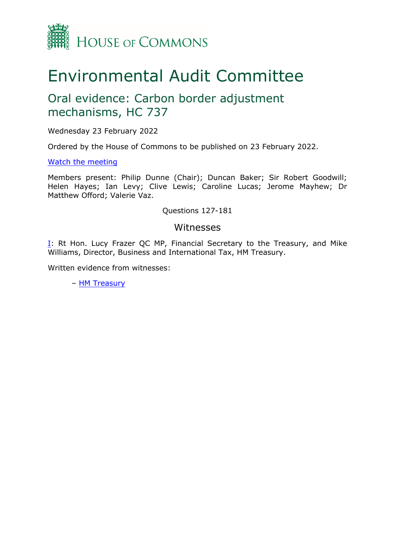

# Environmental Audit Committee

## Oral evidence: Carbon border adjustment mechanisms, HC 737

Wednesday 23 February 2022

Ordered by the House of Commons to be published on 23 February 2022.

#### [Watch](https://www.parliamentlive.tv/Event/Index/b4baeeb9-1c3c-4cc6-9569-df175c26193a) [the](https://www.parliamentlive.tv/Event/Index/b4baeeb9-1c3c-4cc6-9569-df175c26193a) [meeting](https://www.parliamentlive.tv/Event/Index/b4baeeb9-1c3c-4cc6-9569-df175c26193a)

Members present: Philip Dunne (Chair); Duncan Baker; Sir Robert Goodwill; Helen Hayes; Ian Levy; Clive Lewis; Caroline Lucas; Jerome Mayhew; Dr Matthew Offord; Valerie Vaz.

#### Questions 127-181

#### Witnesses

[I:](#page-1-0) Rt Hon. Lucy Frazer QC MP, Financial Secretary to the Treasury, and Mike Williams, Director, Business and International Tax, HM Treasury.

Written evidence from witnesses:

– [HM](https://committees.parliament.uk/work/1535/carbon-border-adjustment-mechanisms/publications/written-evidence/?SearchTerm=treasury&DateFrom=&DateTo=&SessionId=) [Treasury](https://committees.parliament.uk/work/1535/carbon-border-adjustment-mechanisms/publications/written-evidence/?SearchTerm=treasury&DateFrom=&DateTo=&SessionId=)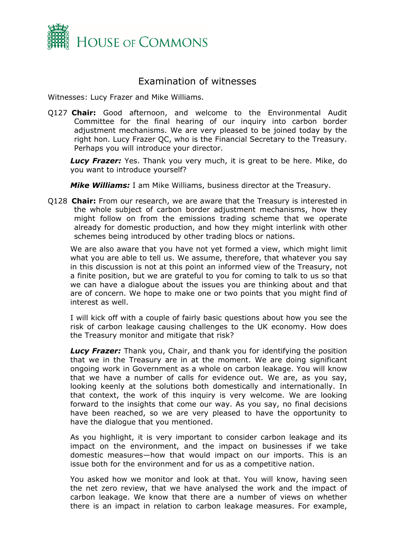

### <span id="page-1-0"></span>Examination of witnesses

Witnesses: Lucy Frazer and Mike Williams.

Q127 **Chair:** Good afternoon, and welcome to the Environmental Audit Committee for the final hearing of our inquiry into carbon border adjustment mechanisms. We are very pleased to be joined today by the right hon. Lucy Frazer QC, who is the Financial Secretary to the Treasury. Perhaps you will introduce your director.

*Lucy Frazer:* Yes. Thank you very much, it is great to be here. Mike, do you want to introduce yourself?

*Mike Williams:* I am Mike Williams, business director at the Treasury.

Q128 **Chair:** From our research, we are aware that the Treasury is interested in the whole subject of carbon border adjustment mechanisms, how they might follow on from the emissions trading scheme that we operate already for domestic production, and how they might interlink with other schemes being introduced by other trading blocs or nations.

We are also aware that you have not yet formed a view, which might limit what you are able to tell us. We assume, therefore, that whatever you say in this discussion is not at this point an informed view of the Treasury, not a finite position, but we are grateful to you for coming to talk to us so that we can have a dialogue about the issues you are thinking about and that are of concern. We hope to make one or two points that you might find of interest as well.

I will kick off with a couple of fairly basic questions about how you see the risk of carbon leakage causing challenges to the UK economy. How does the Treasury monitor and mitigate that risk?

*Lucy Frazer:* Thank you, Chair, and thank you for identifying the position that we in the Treasury are in at the moment. We are doing significant ongoing work in Government as a whole on carbon leakage. You will know that we have a number of calls for evidence out. We are, as you say, looking keenly at the solutions both domestically and internationally. In that context, the work of this inquiry is very welcome. We are looking forward to the insights that come our way. As you say, no final decisions have been reached, so we are very pleased to have the opportunity to have the dialogue that you mentioned.

As you highlight, it is very important to consider carbon leakage and its impact on the environment, and the impact on businesses if we take domestic measures—how that would impact on our imports. This is an issue both for the environment and for us as a competitive nation.

You asked how we monitor and look at that. You will know, having seen the net zero review, that we have analysed the work and the impact of carbon leakage. We know that there are a number of views on whether there is an impact in relation to carbon leakage measures. For example,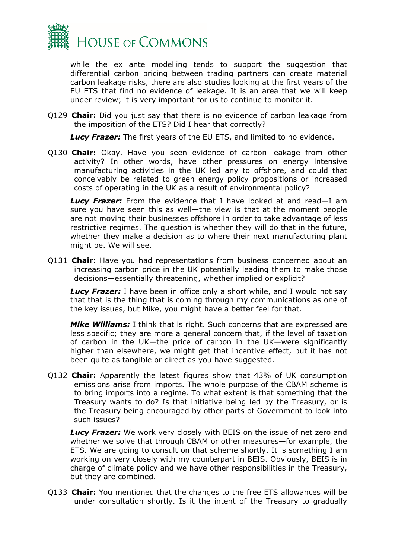

while the ex ante modelling tends to support the suggestion that differential carbon pricing between trading partners can create material carbon leakage risks, there are also studies looking at the first years of the EU ETS that find no evidence of leakage. It is an area that we will keep under review; it is very important for us to continue to monitor it.

Q129 **Chair:** Did you just say that there is no evidence of carbon leakage from the imposition of the ETS? Did I hear that correctly?

*Lucy Frazer:* The first years of the EU ETS, and limited to no evidence.

Q130 **Chair:** Okay. Have you seen evidence of carbon leakage from other activity? In other words, have other pressures on energy intensive manufacturing activities in the UK led any to offshore, and could that conceivably be related to green energy policy propositions or increased costs of operating in the UK as a result of environmental policy?

*Lucy Frazer:* From the evidence that I have looked at and read—I am sure you have seen this as well—the view is that at the moment people are not moving their businesses offshore in order to take advantage of less restrictive regimes. The question is whether they will do that in the future, whether they make a decision as to where their next manufacturing plant might be. We will see.

Q131 **Chair:** Have you had representations from business concerned about an increasing carbon price in the UK potentially leading them to make those decisions—essentially threatening, whether implied or explicit?

**Lucy Frazer:** I have been in office only a short while, and I would not say that that is the thing that is coming through my communications as one of the key issues, but Mike, you might have a better feel for that.

*Mike Williams:* I think that is right. Such concerns that are expressed are less specific; they are more a general concern that, if the level of taxation of carbon in the UK—the price of carbon in the UK—were significantly higher than elsewhere, we might get that incentive effect, but it has not been quite as tangible or direct as you have suggested.

Q132 **Chair:** Apparently the latest figures show that 43% of UK consumption emissions arise from imports. The whole purpose of the CBAM scheme is to bring imports into a regime. To what extent is that something that the Treasury wants to do? Is that initiative being led by the Treasury, or is the Treasury being encouraged by other parts of Government to look into such issues?

*Lucy Frazer:* We work very closely with BEIS on the issue of net zero and whether we solve that through CBAM or other measures—for example, the ETS. We are going to consult on that scheme shortly. It is something I am working on very closely with my counterpart in BEIS. Obviously, BEIS is in charge of climate policy and we have other responsibilities in the Treasury, but they are combined.

Q133 **Chair:** You mentioned that the changes to the free ETS allowances will be under consultation shortly. Is it the intent of the Treasury to gradually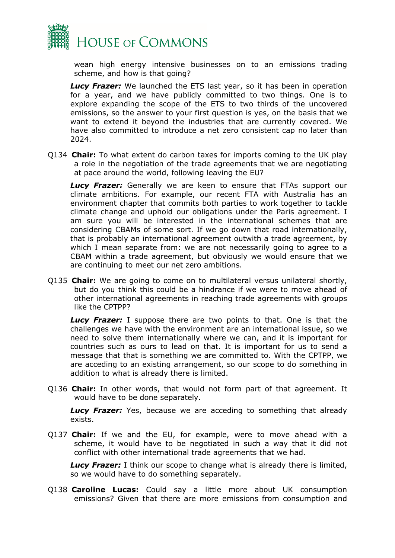

wean high energy intensive businesses on to an emissions trading scheme, and how is that going?

**Lucy Frazer:** We launched the ETS last year, so it has been in operation for a year, and we have publicly committed to two things. One is to explore expanding the scope of the ETS to two thirds of the uncovered emissions, so the answer to your first question is yes, on the basis that we want to extend it beyond the industries that are currently covered. We have also committed to introduce a net zero consistent cap no later than 2024.

Q134 **Chair:** To what extent do carbon taxes for imports coming to the UK play a role in the negotiation of the trade agreements that we are negotiating at pace around the world, following leaving the EU?

*Lucy Frazer:* Generally we are keen to ensure that FTAs support our climate ambitions. For example, our recent FTA with Australia has an environment chapter that commits both parties to work together to tackle climate change and uphold our obligations under the Paris agreement. I am sure you will be interested in the international schemes that are considering CBAMs of some sort. If we go down that road internationally, that is probably an international agreement outwith a trade agreement, by which I mean separate from: we are not necessarily going to agree to a CBAM within a trade agreement, but obviously we would ensure that we are continuing to meet our net zero ambitions.

Q135 **Chair:** We are going to come on to multilateral versus unilateral shortly, but do you think this could be a hindrance if we were to move ahead of other international agreements in reaching trade agreements with groups like the CPTPP?

*Lucy Frazer:* I suppose there are two points to that. One is that the challenges we have with the environment are an international issue, so we need to solve them internationally where we can, and it is important for countries such as ours to lead on that. It is important for us to send a message that that is something we are committed to. With the CPTPP, we are acceding to an existing arrangement, so our scope to do something in addition to what is already there is limited.

Q136 **Chair:** In other words, that would not form part of that agreement. It would have to be done separately.

*Lucy Frazer:* Yes, because we are acceding to something that already exists.

Q137 **Chair:** If we and the EU, for example, were to move ahead with a scheme, it would have to be negotiated in such a way that it did not conflict with other international trade agreements that we had.

*Lucy Frazer:* I think our scope to change what is already there is limited, so we would have to do something separately.

Q138 **Caroline Lucas:** Could say a little more about UK consumption emissions? Given that there are more emissions from consumption and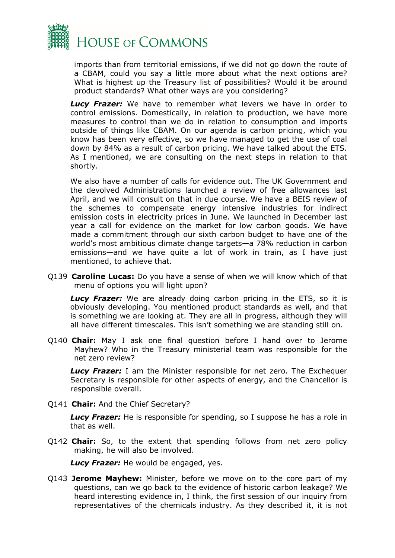

imports than from territorial emissions, if we did not go down the route of a CBAM, could you say a little more about what the next options are? What is highest up the Treasury list of possibilities? Would it be around product standards? What other ways are you considering?

*Lucy Frazer:* We have to remember what levers we have in order to control emissions. Domestically, in relation to production, we have more measures to control than we do in relation to consumption and imports outside of things like CBAM. On our agenda is carbon pricing, which you know has been very effective, so we have managed to get the use of coal down by 84% as a result of carbon pricing. We have talked about the ETS. As I mentioned, we are consulting on the next steps in relation to that shortly.

We also have a number of calls for evidence out. The UK Government and the devolved Administrations launched a review of free allowances last April, and we will consult on that in due course. We have a BEIS review of the schemes to compensate energy intensive industries for indirect emission costs in electricity prices in June. We launched in December last year a call for evidence on the market for low carbon goods. We have made a commitment through our sixth carbon budget to have one of the world's most ambitious climate change targets—a 78% reduction in carbon emissions—and we have quite a lot of work in train, as I have just mentioned, to achieve that.

Q139 **Caroline Lucas:** Do you have a sense of when we will know which of that menu of options you will light upon?

**Lucy Frazer:** We are already doing carbon pricing in the ETS, so it is obviously developing. You mentioned product standards as well, and that is something we are looking at. They are all in progress, although they will all have different timescales. This isn't something we are standing still on.

Q140 **Chair:** May I ask one final question before I hand over to Jerome Mayhew? Who in the Treasury ministerial team was responsible for the net zero review?

*Lucy Frazer:* I am the Minister responsible for net zero. The Exchequer Secretary is responsible for other aspects of energy, and the Chancellor is responsible overall.

Q141 **Chair:** And the Chief Secretary?

*Lucy Frazer:* He is responsible for spending, so I suppose he has a role in that as well.

Q142 **Chair:** So, to the extent that spending follows from net zero policy making, he will also be involved.

*Lucy Frazer:* He would be engaged, yes.

Q143 **Jerome Mayhew:** Minister, before we move on to the core part of my questions, can we go back to the evidence of historic carbon leakage? We heard interesting evidence in, I think, the first session of our inquiry from representatives of the chemicals industry. As they described it, it is not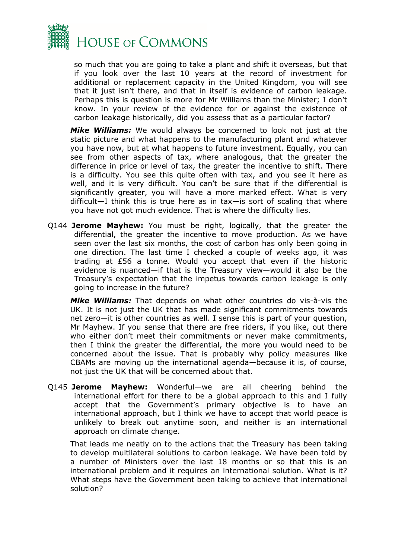

so much that you are going to take a plant and shift it overseas, but that if you look over the last 10 years at the record of investment for additional or replacement capacity in the United Kingdom, you will see that it just isn't there, and that in itself is evidence of carbon leakage. Perhaps this is question is more for Mr Williams than the Minister; I don't know. In your review of the evidence for or against the existence of carbon leakage historically, did you assess that as a particular factor?

*Mike Williams:* We would always be concerned to look not just at the static picture and what happens to the manufacturing plant and whatever you have now, but at what happens to future investment. Equally, you can see from other aspects of tax, where analogous, that the greater the difference in price or level of tax, the greater the incentive to shift. There is a difficulty. You see this quite often with tax, and you see it here as well, and it is very difficult. You can't be sure that if the differential is significantly greater, you will have a more marked effect. What is very difficult—I think this is true here as in tax—is sort of scaling that where you have not got much evidence. That is where the difficulty lies.

Q144 **Jerome Mayhew:** You must be right, logically, that the greater the differential, the greater the incentive to move production. As we have seen over the last six months, the cost of carbon has only been going in one direction. The last time I checked a couple of weeks ago, it was trading at £56 a tonne. Would you accept that even if the historic evidence is nuanced—if that is the Treasury view—would it also be the Treasury's expectation that the impetus towards carbon leakage is only going to increase in the future?

*Mike Williams:* That depends on what other countries do vis-à-vis the UK. It is not just the UK that has made significant commitments towards net zero—it is other countries as well. I sense this is part of your question, Mr Mayhew. If you sense that there are free riders, if you like, out there who either don't meet their commitments or never make commitments, then I think the greater the differential, the more you would need to be concerned about the issue. That is probably why policy measures like CBAMs are moving up the international agenda—because it is, of course, not just the UK that will be concerned about that.

Q145 **Jerome Mayhew:** Wonderful—we are all cheering behind the international effort for there to be a global approach to this and I fully accept that the Government's primary objective is to have an international approach, but I think we have to accept that world peace is unlikely to break out anytime soon, and neither is an international approach on climate change.

That leads me neatly on to the actions that the Treasury has been taking to develop multilateral solutions to carbon leakage. We have been told by a number of Ministers over the last 18 months or so that this is an international problem and it requires an international solution. What is it? What steps have the Government been taking to achieve that international solution?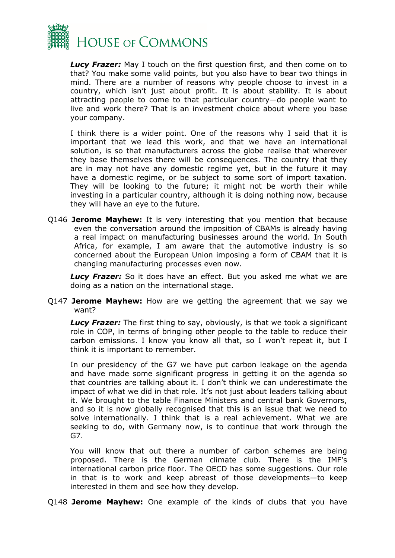

*Lucy Frazer:* May I touch on the first question first, and then come on to that? You make some valid points, but you also have to bear two things in mind. There are a number of reasons why people choose to invest in a country, which isn't just about profit. It is about stability. It is about attracting people to come to that particular country—do people want to live and work there? That is an investment choice about where you base your company.

I think there is a wider point. One of the reasons why I said that it is important that we lead this work, and that we have an international solution, is so that manufacturers across the globe realise that wherever they base themselves there will be consequences. The country that they are in may not have any domestic regime yet, but in the future it may have a domestic regime, or be subject to some sort of import taxation. They will be looking to the future; it might not be worth their while investing in a particular country, although it is doing nothing now, because they will have an eye to the future.

Q146 **Jerome Mayhew:** It is very interesting that you mention that because even the conversation around the imposition of CBAMs is already having a real impact on manufacturing businesses around the world. In South Africa, for example, I am aware that the automotive industry is so concerned about the European Union imposing a form of CBAM that it is changing manufacturing processes even now.

*Lucy Frazer:* So it does have an effect. But you asked me what we are doing as a nation on the international stage.

Q147 **Jerome Mayhew:** How are we getting the agreement that we say we want?

*Lucy Frazer:* The first thing to say, obviously, is that we took a significant role in COP, in terms of bringing other people to the table to reduce their carbon emissions. I know you know all that, so I won't repeat it, but I think it is important to remember.

In our presidency of the G7 we have put carbon leakage on the agenda and have made some significant progress in getting it on the agenda so that countries are talking about it. I don't think we can underestimate the impact of what we did in that role. It's not just about leaders talking about it. We brought to the table Finance Ministers and central bank Governors, and so it is now globally recognised that this is an issue that we need to solve internationally. I think that is a real achievement. What we are seeking to do, with Germany now, is to continue that work through the G7.

You will know that out there a number of carbon schemes are being proposed. There is the German climate club. There is the IMF's international carbon price floor. The OECD has some suggestions. Our role in that is to work and keep abreast of those developments—to keep interested in them and see how they develop.

Q148 **Jerome Mayhew:** One example of the kinds of clubs that you have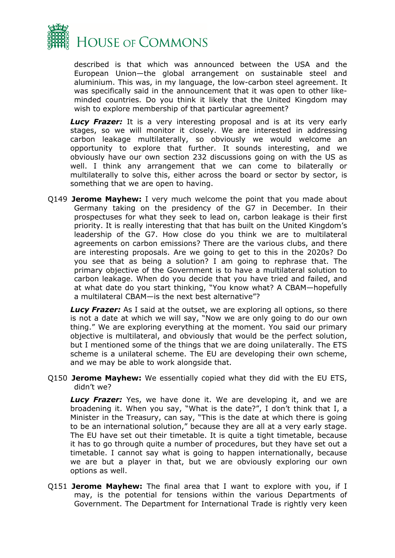

described is that which was announced between the USA and the European Union—the global arrangement on sustainable steel and aluminium. This was, in my language, the low-carbon steel agreement. It was specifically said in the announcement that it was open to other likeminded countries. Do you think it likely that the United Kingdom may wish to explore membership of that particular agreement?

**Lucy Frazer:** It is a very interesting proposal and is at its very early stages, so we will monitor it closely. We are interested in addressing carbon leakage multilaterally, so obviously we would welcome an opportunity to explore that further. It sounds interesting, and we obviously have our own section 232 discussions going on with the US as well. I think any arrangement that we can come to bilaterally or multilaterally to solve this, either across the board or sector by sector, is something that we are open to having.

Q149 **Jerome Mayhew:** I very much welcome the point that you made about Germany taking on the presidency of the G7 in December. In their prospectuses for what they seek to lead on, carbon leakage is their first priority. It is really interesting that that has built on the United Kingdom's leadership of the G7. How close do you think we are to multilateral agreements on carbon emissions? There are the various clubs, and there are interesting proposals. Are we going to get to this in the 2020s? Do you see that as being a solution? I am going to rephrase that. The primary objective of the Government is to have a multilateral solution to carbon leakage. When do you decide that you have tried and failed, and at what date do you start thinking, "You know what? A CBAM—hopefully a multilateral CBAM—is the next best alternative"?

**Lucy Frazer:** As I said at the outset, we are exploring all options, so there is not a date at which we will say, "Now we are only going to do our own thing." We are exploring everything at the moment. You said our primary objective is multilateral, and obviously that would be the perfect solution, but I mentioned some of the things that we are doing unilaterally. The ETS scheme is a unilateral scheme. The EU are developing their own scheme, and we may be able to work alongside that.

Q150 **Jerome Mayhew:** We essentially copied what they did with the EU ETS, didn't we?

*Lucy Frazer:* Yes, we have done it. We are developing it, and we are broadening it. When you say, "What is the date?", I don't think that I, a Minister in the Treasury, can say, "This is the date at which there is going to be an international solution," because they are all at a very early stage. The EU have set out their timetable. It is quite a tight timetable, because it has to go through quite a number of procedures, but they have set out a timetable. I cannot say what is going to happen internationally, because we are but a player in that, but we are obviously exploring our own options as well.

Q151 **Jerome Mayhew:** The final area that I want to explore with you, if I may, is the potential for tensions within the various Departments of Government. The Department for International Trade is rightly very keen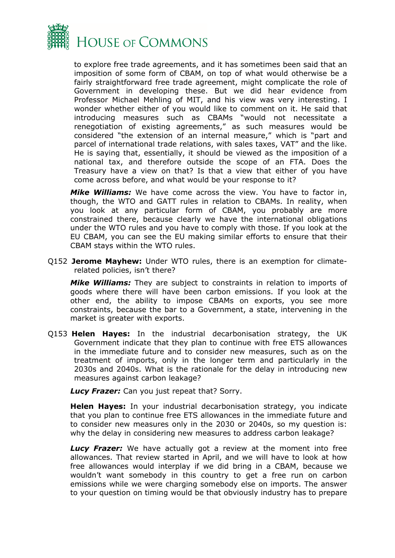

to explore free trade agreements, and it has sometimes been said that an imposition of some form of CBAM, on top of what would otherwise be a fairly straightforward free trade agreement, might complicate the role of Government in developing these. But we did hear evidence from Professor Michael Mehling of MIT, and his view was very interesting. I wonder whether either of you would like to comment on it. He said that introducing measures such as CBAMs "would not necessitate a renegotiation of existing agreements," as such measures would be considered "the extension of an internal measure," which is "part and parcel of international trade relations, with sales taxes, VAT" and the like. He is saying that, essentially, it should be viewed as the imposition of a national tax, and therefore outside the scope of an FTA. Does the Treasury have a view on that? Is that a view that either of you have come across before, and what would be your response to it?

*Mike Williams:* We have come across the view. You have to factor in, though, the WTO and GATT rules in relation to CBAMs. In reality, when you look at any particular form of CBAM, you probably are more constrained there, because clearly we have the international obligations under the WTO rules and you have to comply with those. If you look at the EU CBAM, you can see the EU making similar efforts to ensure that their CBAM stays within the WTO rules.

Q152 **Jerome Mayhew:** Under WTO rules, there is an exemption for climaterelated policies, isn't there?

*Mike Williams:* They are subject to constraints in relation to imports of goods where there will have been carbon emissions. If you look at the other end, the ability to impose CBAMs on exports, you see more constraints, because the bar to a Government, a state, intervening in the market is greater with exports.

Q153 **Helen Hayes:** In the industrial decarbonisation strategy, the UK Government indicate that they plan to continue with free ETS allowances in the immediate future and to consider new measures, such as on the treatment of imports, only in the longer term and particularly in the 2030s and 2040s. What is the rationale for the delay in introducing new measures against carbon leakage?

*Lucy Frazer:* Can you just repeat that? Sorry.

**Helen Hayes:** In your industrial decarbonisation strategy, you indicate that you plan to continue free ETS allowances in the immediate future and to consider new measures only in the 2030 or 2040s, so my question is: why the delay in considering new measures to address carbon leakage?

**Lucy Frazer:** We have actually got a review at the moment into free allowances. That review started in April, and we will have to look at how free allowances would interplay if we did bring in a CBAM, because we wouldn't want somebody in this country to get a free run on carbon emissions while we were charging somebody else on imports. The answer to your question on timing would be that obviously industry has to prepare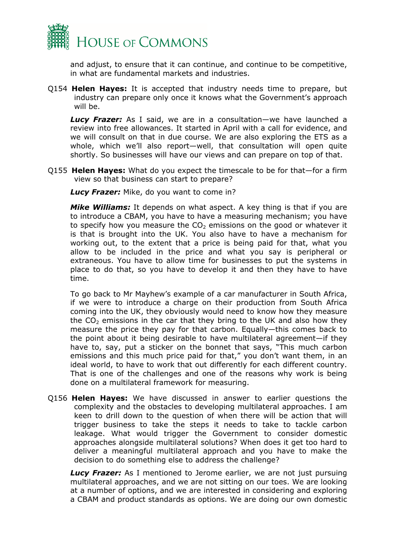

and adjust, to ensure that it can continue, and continue to be competitive, in what are fundamental markets and industries.

Q154 **Helen Hayes:** It is accepted that industry needs time to prepare, but industry can prepare only once it knows what the Government's approach will be.

*Lucy Frazer:* As I said, we are in a consultation—we have launched a review into free allowances. It started in April with a call for evidence, and we will consult on that in due course. We are also exploring the ETS as a whole, which we'll also report—well, that consultation will open quite shortly. So businesses will have our views and can prepare on top of that.

Q155 **Helen Hayes:** What do you expect the timescale to be for that—for a firm view so that business can start to prepare?

*Lucy Frazer:* Mike, do you want to come in?

*Mike Williams:* It depends on what aspect. A key thing is that if you are to introduce a CBAM, you have to have a measuring mechanism; you have to specify how you measure the  $CO<sub>2</sub>$  emissions on the good or whatever it is that is brought into the UK. You also have to have a mechanism for working out, to the extent that a price is being paid for that, what you allow to be included in the price and what you say is peripheral or extraneous. You have to allow time for businesses to put the systems in place to do that, so you have to develop it and then they have to have time.

To go back to Mr Mayhew's example of a car manufacturer in South Africa, if we were to introduce a charge on their production from South Africa coming into the UK, they obviously would need to know how they measure the  $CO<sub>2</sub>$  emissions in the car that they bring to the UK and also how they measure the price they pay for that carbon. Equally—this comes back to the point about it being desirable to have multilateral agreement—if they have to, say, put a sticker on the bonnet that says, "This much carbon emissions and this much price paid for that," you don't want them, in an ideal world, to have to work that out differently for each different country. That is one of the challenges and one of the reasons why work is being done on a multilateral framework for measuring.

Q156 **Helen Hayes:** We have discussed in answer to earlier questions the complexity and the obstacles to developing multilateral approaches. I am keen to drill down to the question of when there will be action that will trigger business to take the steps it needs to take to tackle carbon leakage. What would trigger the Government to consider domestic approaches alongside multilateral solutions? When does it get too hard to deliver a meaningful multilateral approach and you have to make the decision to do something else to address the challenge?

**Lucy Frazer:** As I mentioned to Jerome earlier, we are not just pursuing multilateral approaches, and we are not sitting on our toes. We are looking at a number of options, and we are interested in considering and exploring a CBAM and product standards as options. We are doing our own domestic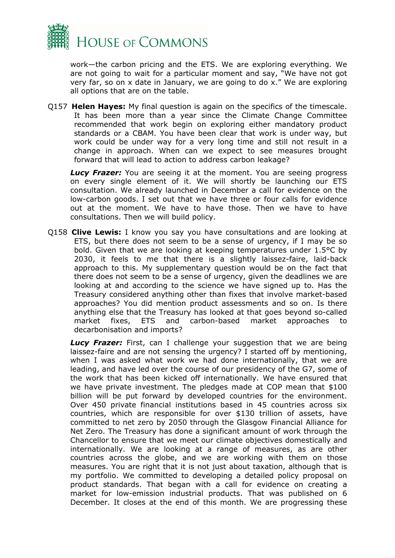

work—the carbon pricing and the ETS. We are exploring everything. We are not going to wait for a particular moment and say, "We have not got very far, so on x date in January, we are going to do x." We are exploring all options that are on the table.

Q157 **Helen Hayes:** My final question is again on the specifics of the timescale. It has been more than a year since the Climate Change Committee recommended that work begin on exploring either mandatory product standards or a CBAM. You have been clear that work is under way, but work could be under way for a very long time and still not result in a change in approach. When can we expect to see measures brought forward that will lead to action to address carbon leakage?

**Lucy Frazer:** You are seeing it at the moment. You are seeing progress on every single element of it. We will shortly be launching our ETS consultation. We already launched in December a call for evidence on the low-carbon goods. I set out that we have three or four calls for evidence out at the moment. We have to have those. Then we have to have consultations. Then we will build policy.

Q158 **Clive Lewis:** I know you say you have consultations and are looking at ETS, but there does not seem to be a sense of urgency, if I may be so bold. Given that we are looking at keeping temperatures under 1.5°C by 2030, it feels to me that there is a slightly laissez-faire, laid-back approach to this. My supplementary question would be on the fact that there does not seem to be a sense of urgency, given the deadlines we are looking at and according to the science we have signed up to. Has the Treasury considered anything other than fixes that involve market-based approaches? You did mention product assessments and so on. Is there anything else that the Treasury has looked at that goes beyond so-called market fixes, ETS and carbon-based market approaches to decarbonisation and imports?

**Lucy Frazer:** First, can I challenge your suggestion that we are being laissez-faire and are not sensing the urgency? I started off by mentioning, when I was asked what work we had done internationally, that we are leading, and have led over the course of our presidency of the G7, some of the work that has been kicked off internationally. We have ensured that we have private investment. The pledges made at COP mean that \$100 billion will be put forward by developed countries for the environment. Over 450 private financial institutions based in 45 countries across six countries, which are responsible for over \$130 trillion of assets, have committed to net zero by 2050 through the Glasgow Financial Alliance for Net Zero. The Treasury has done a significant amount of work through the Chancellor to ensure that we meet our climate objectives domestically and internationally. We are looking at a range of measures, as are other countries across the globe, and we are working with them on those measures. You are right that it is not just about taxation, although that is my portfolio. We committed to developing a detailed policy proposal on product standards. That began with a call for evidence on creating a market for low-emission industrial products. That was published on 6 December. It closes at the end of this month. We are progressing these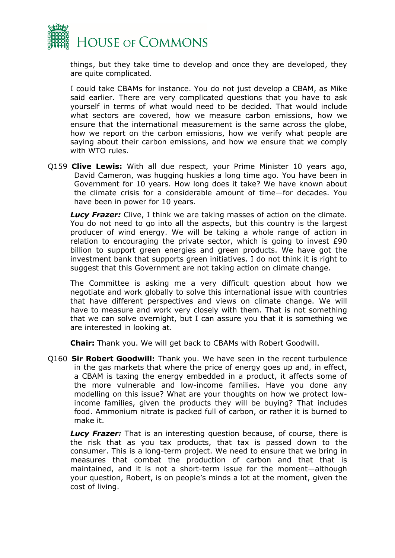

things, but they take time to develop and once they are developed, they are quite complicated.

I could take CBAMs for instance. You do not just develop a CBAM, as Mike said earlier. There are very complicated questions that you have to ask yourself in terms of what would need to be decided. That would include what sectors are covered, how we measure carbon emissions, how we ensure that the international measurement is the same across the globe, how we report on the carbon emissions, how we verify what people are saying about their carbon emissions, and how we ensure that we comply with WTO rules.

Q159 **Clive Lewis:** With all due respect, your Prime Minister 10 years ago, David Cameron, was hugging huskies a long time ago. You have been in Government for 10 years. How long does it take? We have known about the climate crisis for a considerable amount of time—for decades. You have been in power for 10 years.

**Lucy Frazer:** Clive, I think we are taking masses of action on the climate. You do not need to go into all the aspects, but this country is the largest producer of wind energy. We will be taking a whole range of action in relation to encouraging the private sector, which is going to invest £90 billion to support green energies and green products. We have got the investment bank that supports green initiatives. I do not think it is right to suggest that this Government are not taking action on climate change.

The Committee is asking me a very difficult question about how we negotiate and work globally to solve this international issue with countries that have different perspectives and views on climate change. We will have to measure and work very closely with them. That is not something that we can solve overnight, but I can assure you that it is something we are interested in looking at.

**Chair:** Thank you. We will get back to CBAMs with Robert Goodwill.

Q160 **Sir Robert Goodwill:** Thank you. We have seen in the recent turbulence in the gas markets that where the price of energy goes up and, in effect, a CBAM is taxing the energy embedded in a product, it affects some of the more vulnerable and low-income families. Have you done any modelling on this issue? What are your thoughts on how we protect lowincome families, given the products they will be buying? That includes food. Ammonium nitrate is packed full of carbon, or rather it is burned to make it.

*Lucy Frazer:* That is an interesting question because, of course, there is the risk that as you tax products, that tax is passed down to the consumer. This is a long-term project. We need to ensure that we bring in measures that combat the production of carbon and that that is maintained, and it is not a short-term issue for the moment—although your question, Robert, is on people's minds a lot at the moment, given the cost of living.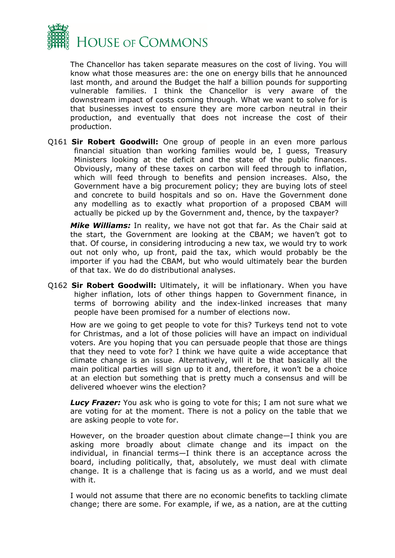

The Chancellor has taken separate measures on the cost of living. You will know what those measures are: the one on energy bills that he announced last month, and around the Budget the half a billion pounds for supporting vulnerable families. I think the Chancellor is very aware of the downstream impact of costs coming through. What we want to solve for is that businesses invest to ensure they are more carbon neutral in their production, and eventually that does not increase the cost of their production.

Q161 **Sir Robert Goodwill:** One group of people in an even more parlous financial situation than working families would be, I guess, Treasury Ministers looking at the deficit and the state of the public finances. Obviously, many of these taxes on carbon will feed through to inflation, which will feed through to benefits and pension increases. Also, the Government have a big procurement policy; they are buying lots of steel and concrete to build hospitals and so on. Have the Government done any modelling as to exactly what proportion of a proposed CBAM will actually be picked up by the Government and, thence, by the taxpayer?

*Mike Williams:* In reality, we have not got that far. As the Chair said at the start, the Government are looking at the CBAM; we haven't got to that. Of course, in considering introducing a new tax, we would try to work out not only who, up front, paid the tax, which would probably be the importer if you had the CBAM, but who would ultimately bear the burden of that tax. We do do distributional analyses.

Q162 **Sir Robert Goodwill:** Ultimately, it will be inflationary. When you have higher inflation, lots of other things happen to Government finance, in terms of borrowing ability and the index-linked increases that many people have been promised for a number of elections now.

How are we going to get people to vote for this? Turkeys tend not to vote for Christmas, and a lot of those policies will have an impact on individual voters. Are you hoping that you can persuade people that those are things that they need to vote for? I think we have quite a wide acceptance that climate change is an issue. Alternatively, will it be that basically all the main political parties will sign up to it and, therefore, it won't be a choice at an election but something that is pretty much a consensus and will be delivered whoever wins the election?

*Lucy Frazer:* You ask who is going to vote for this; I am not sure what we are voting for at the moment. There is not a policy on the table that we are asking people to vote for.

However, on the broader question about climate change—I think you are asking more broadly about climate change and its impact on the individual, in financial terms—I think there is an acceptance across the board, including politically, that, absolutely, we must deal with climate change. It is a challenge that is facing us as a world, and we must deal with it.

I would not assume that there are no economic benefits to tackling climate change; there are some. For example, if we, as a nation, are at the cutting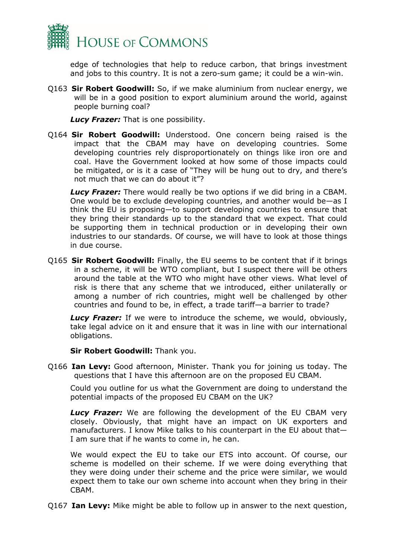

edge of technologies that help to reduce carbon, that brings investment and jobs to this country. It is not a zero-sum game; it could be a win-win.

Q163 **Sir Robert Goodwill:** So, if we make aluminium from nuclear energy, we will be in a good position to export aluminium around the world, against people burning coal?

*Lucy Frazer:* That is one possibility.

Q164 **Sir Robert Goodwill:** Understood. One concern being raised is the impact that the CBAM may have on developing countries. Some developing countries rely disproportionately on things like iron ore and coal. Have the Government looked at how some of those impacts could be mitigated, or is it a case of "They will be hung out to dry, and there's not much that we can do about it"?

*Lucy Frazer:* There would really be two options if we did bring in a CBAM. One would be to exclude developing countries, and another would be—as I think the EU is proposing—to support developing countries to ensure that they bring their standards up to the standard that we expect. That could be supporting them in technical production or in developing their own industries to our standards. Of course, we will have to look at those things in due course.

Q165 **Sir Robert Goodwill:** Finally, the EU seems to be content that if it brings in a scheme, it will be WTO compliant, but I suspect there will be others around the table at the WTO who might have other views. What level of risk is there that any scheme that we introduced, either unilaterally or among a number of rich countries, might well be challenged by other countries and found to be, in effect, a trade tariff—a barrier to trade?

*Lucy Frazer:* If we were to introduce the scheme, we would, obviously, take legal advice on it and ensure that it was in line with our international obligations.

**Sir Robert Goodwill:** Thank you.

Q166 **Ian Levy:** Good afternoon, Minister. Thank you for joining us today. The questions that I have this afternoon are on the proposed EU CBAM.

Could you outline for us what the Government are doing to understand the potential impacts of the proposed EU CBAM on the UK?

**Lucy Frazer:** We are following the development of the EU CBAM very closely. Obviously, that might have an impact on UK exporters and manufacturers. I know Mike talks to his counterpart in the EU about that— I am sure that if he wants to come in, he can.

We would expect the EU to take our ETS into account. Of course, our scheme is modelled on their scheme. If we were doing everything that they were doing under their scheme and the price were similar, we would expect them to take our own scheme into account when they bring in their CBAM.

Q167 **Ian Levy:** Mike might be able to follow up in answer to the next question,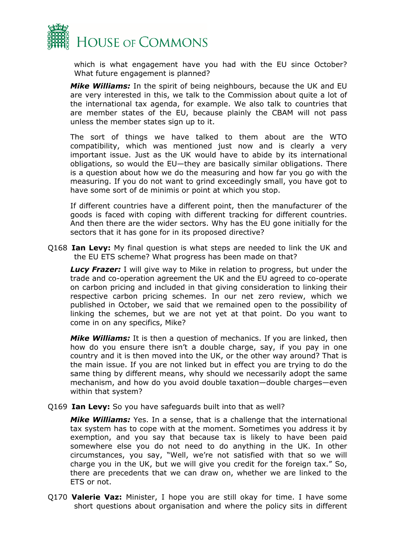

which is what engagement have you had with the EU since October? What future engagement is planned?

*Mike Williams:* In the spirit of being neighbours, because the UK and EU are very interested in this, we talk to the Commission about quite a lot of the international tax agenda, for example. We also talk to countries that are member states of the EU, because plainly the CBAM will not pass unless the member states sign up to it.

The sort of things we have talked to them about are the WTO compatibility, which was mentioned just now and is clearly a very important issue. Just as the UK would have to abide by its international obligations, so would the EU—they are basically similar obligations. There is a question about how we do the measuring and how far you go with the measuring. If you do not want to grind exceedingly small, you have got to have some sort of de minimis or point at which you stop.

If different countries have a different point, then the manufacturer of the goods is faced with coping with different tracking for different countries. And then there are the wider sectors. Why has the EU gone initially for the sectors that it has gone for in its proposed directive?

Q168 **Ian Levy:** My final question is what steps are needed to link the UK and the EU ETS scheme? What progress has been made on that?

*Lucy Frazer:* I will give way to Mike in relation to progress, but under the trade and co-operation agreement the UK and the EU agreed to co-operate on carbon pricing and included in that giving consideration to linking their respective carbon pricing schemes. In our net zero review, which we published in October, we said that we remained open to the possibility of linking the schemes, but we are not yet at that point. Do you want to come in on any specifics, Mike?

*Mike Williams:* It is then a question of mechanics. If you are linked, then how do you ensure there isn't a double charge, say, if you pay in one country and it is then moved into the UK, or the other way around? That is the main issue. If you are not linked but in effect you are trying to do the same thing by different means, why should we necessarily adopt the same mechanism, and how do you avoid double taxation—double charges—even within that system?

Q169 **Ian Levy:** So you have safeguards built into that as well?

*Mike Williams:* Yes. In a sense, that is a challenge that the international tax system has to cope with at the moment. Sometimes you address it by exemption, and you say that because tax is likely to have been paid somewhere else you do not need to do anything in the UK. In other circumstances, you say, "Well, we're not satisfied with that so we will charge you in the UK, but we will give you credit for the foreign tax." So, there are precedents that we can draw on, whether we are linked to the ETS or not.

Q170 **Valerie Vaz:** Minister, I hope you are still okay for time. I have some short questions about organisation and where the policy sits in different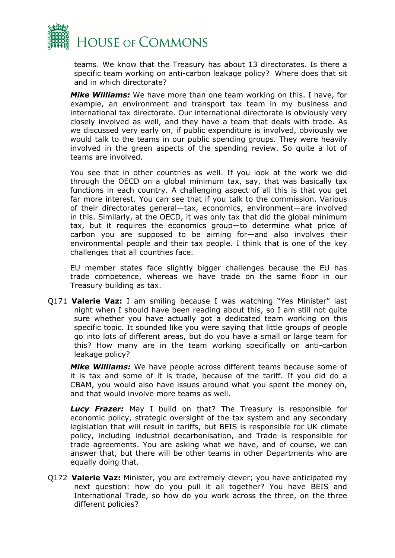

teams. We know that the Treasury has about 13 directorates. Is there a specific team working on anti-carbon leakage policy? Where does that sit and in which directorate?

*Mike Williams:* We have more than one team working on this. I have, for example, an environment and transport tax team in my business and international tax directorate. Our international directorate is obviously very closely involved as well, and they have a team that deals with trade. As we discussed very early on, if public expenditure is involved, obviously we would talk to the teams in our public spending groups. They were heavily involved in the green aspects of the spending review. So quite a lot of teams are involved.

You see that in other countries as well. If you look at the work we did through the OECD on a global minimum tax, say, that was basically tax functions in each country. A challenging aspect of all this is that you get far more interest. You can see that if you talk to the commission. Various of their directorates general—tax, economics, environment—are involved in this. Similarly, at the OECD, it was only tax that did the global minimum tax, but it requires the economics group—to determine what price of carbon you are supposed to be aiming for—and also involves their environmental people and their tax people. I think that is one of the key challenges that all countries face.

EU member states face slightly bigger challenges because the EU has trade competence, whereas we have trade on the same floor in our Treasury building as tax.

Q171 **Valerie Vaz:** I am smiling because I was watching "Yes Minister" last night when I should have been reading about this, so I am still not quite sure whether you have actually got a dedicated team working on this specific topic. It sounded like you were saying that little groups of people go into lots of different areas, but do you have a small or large team for this? How many are in the team working specifically on anti-carbon leakage policy?

*Mike Williams:* We have people across different teams because some of it is tax and some of it is trade, because of the tariff. If you did do a CBAM, you would also have issues around what you spent the money on, and that would involve more teams as well.

*Lucy Frazer:* May I build on that? The Treasury is responsible for economic policy, strategic oversight of the tax system and any secondary legislation that will result in tariffs, but BEIS is responsible for UK climate policy, including industrial decarbonisation, and Trade is responsible for trade agreements. You are asking what we have, and of course, we can answer that, but there will be other teams in other Departments who are equally doing that.

Q172 **Valerie Vaz:** Minister, you are extremely clever; you have anticipated my next question: how do you pull it all together? You have BEIS and International Trade, so how do you work across the three, on the three different policies?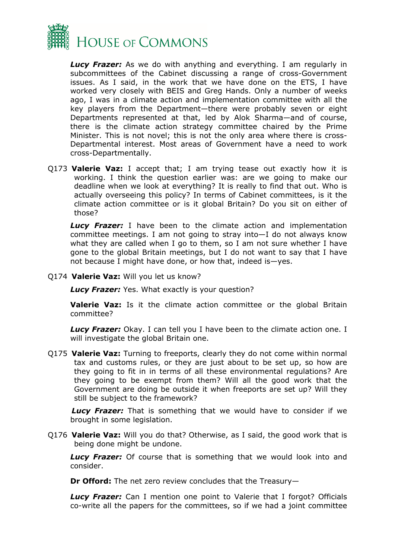

*Lucy Frazer:* As we do with anything and everything. I am regularly in subcommittees of the Cabinet discussing a range of cross-Government issues. As I said, in the work that we have done on the ETS, I have worked very closely with BEIS and Greg Hands. Only a number of weeks ago, I was in a climate action and implementation committee with all the key players from the Department—there were probably seven or eight Departments represented at that, led by Alok Sharma—and of course, there is the climate action strategy committee chaired by the Prime Minister. This is not novel; this is not the only area where there is cross-Departmental interest. Most areas of Government have a need to work cross-Departmentally.

Q173 **Valerie Vaz:** I accept that; I am trying tease out exactly how it is working. I think the question earlier was: are we going to make our deadline when we look at everything? It is really to find that out. Who is actually overseeing this policy? In terms of Cabinet committees, is it the climate action committee or is it global Britain? Do you sit on either of those?

*Lucy Frazer:* I have been to the climate action and implementation committee meetings. I am not going to stray into—I do not always know what they are called when I go to them, so I am not sure whether I have gone to the global Britain meetings, but I do not want to say that I have not because I might have done, or how that, indeed is—yes.

Q174 **Valerie Vaz:** Will you let us know?

*Lucy Frazer:* Yes. What exactly is your question?

**Valerie Vaz:** Is it the climate action committee or the global Britain committee?

**Lucy Frazer:** Okay. I can tell you I have been to the climate action one. I will investigate the global Britain one.

Q175 **Valerie Vaz:** Turning to freeports, clearly they do not come within normal tax and customs rules, or they are just about to be set up, so how are they going to fit in in terms of all these environmental regulations? Are they going to be exempt from them? Will all the good work that the Government are doing be outside it when freeports are set up? Will they still be subject to the framework?

*Lucy Frazer:* That is something that we would have to consider if we brought in some legislation.

Q176 **Valerie Vaz:** Will you do that? Otherwise, as I said, the good work that is being done might be undone.

*Lucy Frazer:* Of course that is something that we would look into and consider.

**Dr Offord:** The net zero review concludes that the Treasury—

*Lucy Frazer:* Can I mention one point to Valerie that I forgot? Officials co-write all the papers for the committees, so if we had a joint committee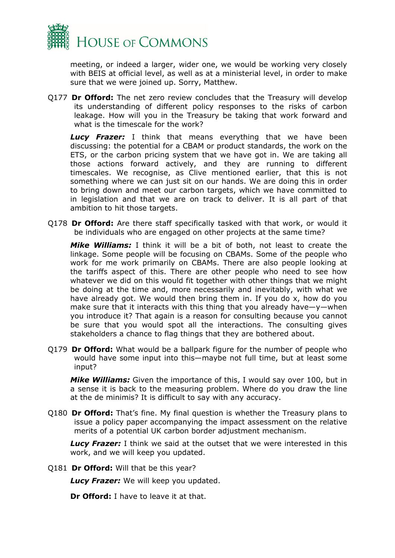

meeting, or indeed a larger, wider one, we would be working very closely with BEIS at official level, as well as at a ministerial level, in order to make sure that we were joined up. Sorry, Matthew.

Q177 **Dr Offord:** The net zero review concludes that the Treasury will develop its understanding of different policy responses to the risks of carbon leakage. How will you in the Treasury be taking that work forward and what is the timescale for the work?

*Lucy Frazer:* I think that means everything that we have been discussing: the potential for a CBAM or product standards, the work on the ETS, or the carbon pricing system that we have got in. We are taking all those actions forward actively, and they are running to different timescales. We recognise, as Clive mentioned earlier, that this is not something where we can just sit on our hands. We are doing this in order to bring down and meet our carbon targets, which we have committed to in legislation and that we are on track to deliver. It is all part of that ambition to hit those targets.

Q178 **Dr Offord:** Are there staff specifically tasked with that work, or would it be individuals who are engaged on other projects at the same time?

*Mike Williams:* I think it will be a bit of both, not least to create the linkage. Some people will be focusing on CBAMs. Some of the people who work for me work primarily on CBAMs. There are also people looking at the tariffs aspect of this. There are other people who need to see how whatever we did on this would fit together with other things that we might be doing at the time and, more necessarily and inevitably, with what we have already got. We would then bring them in. If you do x, how do you make sure that it interacts with this thing that you already have—y—when you introduce it? That again is a reason for consulting because you cannot be sure that you would spot all the interactions. The consulting gives stakeholders a chance to flag things that they are bothered about.

Q179 **Dr Offord:** What would be a ballpark figure for the number of people who would have some input into this—maybe not full time, but at least some input?

*Mike Williams:* Given the importance of this, I would say over 100, but in a sense it is back to the measuring problem. Where do you draw the line at the de minimis? It is difficult to say with any accuracy.

Q180 **Dr Offord:** That's fine. My final question is whether the Treasury plans to issue a policy paper accompanying the impact assessment on the relative merits of a potential UK carbon border adjustment mechanism.

*Lucy Frazer:* I think we said at the outset that we were interested in this work, and we will keep you updated.

Q181 **Dr Offord:** Will that be this year?

*Lucy Frazer:* We will keep you updated.

**Dr Offord:** I have to leave it at that.